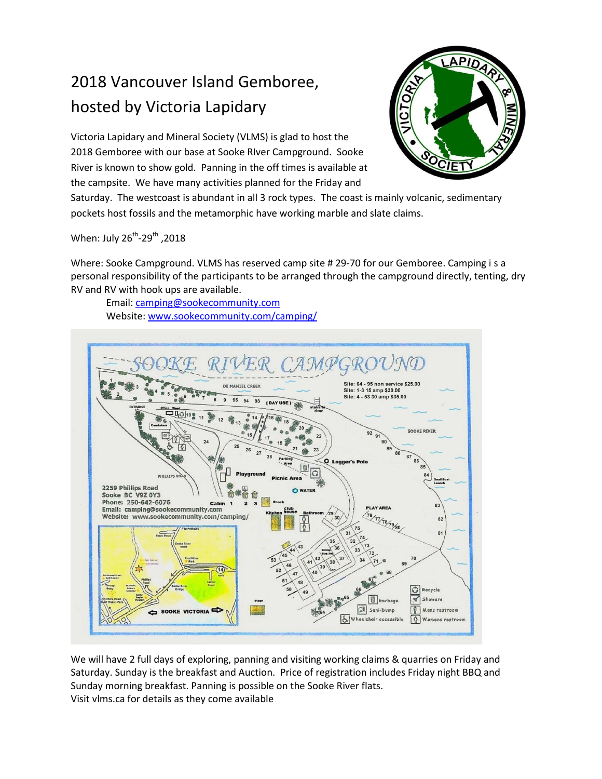## 2018 Vancouver Island Gemboree, hosted by Victoria Lapidary

Victoria Lapidary and Mineral Society (VLMS) is glad to host the 2018 Gemboree with our base at Sooke RIver Campground. Sooke River is known to show gold. Panning in the off times is available at the campsite. We have many activities planned for the Friday and



Saturday. The westcoast is abundant in all 3 rock types. The coast is mainly volcanic, sedimentary pockets host fossils and the metamorphic have working marble and slate claims.

2018, When: July 26<sup>th</sup>-29<sup>th</sup>

Where: Sooke Campground. VLMS has reserved camp site # 29-70 for our Gemboree. Camping i s a personal responsibility of the participants to be arranged through the campground directly, tenting, dry RV and RV with hook ups are available.

Email: [camping@sookecommunity.com](mailto:camping@sookecommunity.com) Website: [www.sookecommunity.com/camping/](http://www.sookecommunity.com/camping/)



We will have 2 full days of exploring, panning and visiting working claims & quarries on Friday and Saturday. Sunday is the breakfast and Auction. Price of registration includes Friday night BBQ and Sunday morning breakfast. Panning is possible on the Sooke River flats. Visit vlms.ca for details as they come available